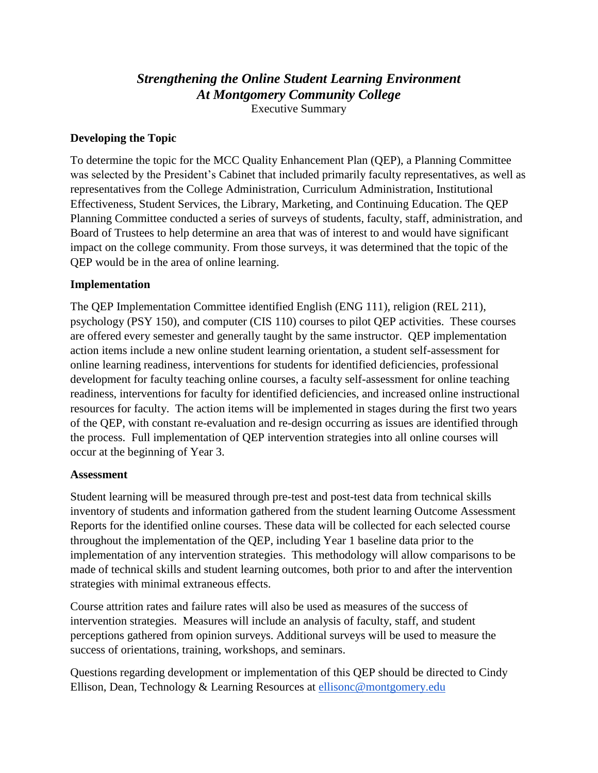# *Strengthening the Online Student Learning Environment At Montgomery Community College*

Executive Summary

#### **Developing the Topic**

To determine the topic for the MCC Quality Enhancement Plan (QEP), a Planning Committee was selected by the President's Cabinet that included primarily faculty representatives, as well as representatives from the College Administration, Curriculum Administration, Institutional Effectiveness, Student Services, the Library, Marketing, and Continuing Education. The QEP Planning Committee conducted a series of surveys of students, faculty, staff, administration, and Board of Trustees to help determine an area that was of interest to and would have significant impact on the college community. From those surveys, it was determined that the topic of the QEP would be in the area of online learning.

#### **Implementation**

The QEP Implementation Committee identified English (ENG 111), religion (REL 211), psychology (PSY 150), and computer (CIS 110) courses to pilot QEP activities. These courses are offered every semester and generally taught by the same instructor. QEP implementation action items include a new online student learning orientation, a student self-assessment for online learning readiness, interventions for students for identified deficiencies, professional development for faculty teaching online courses, a faculty self-assessment for online teaching readiness, interventions for faculty for identified deficiencies, and increased online instructional resources for faculty. The action items will be implemented in stages during the first two years of the QEP, with constant re-evaluation and re-design occurring as issues are identified through the process. Full implementation of QEP intervention strategies into all online courses will occur at the beginning of Year 3.

#### **Assessment**

Student learning will be measured through pre-test and post-test data from technical skills inventory of students and information gathered from the student learning Outcome Assessment Reports for the identified online courses. These data will be collected for each selected course throughout the implementation of the QEP, including Year 1 baseline data prior to the implementation of any intervention strategies. This methodology will allow comparisons to be made of technical skills and student learning outcomes, both prior to and after the intervention strategies with minimal extraneous effects.

Course attrition rates and failure rates will also be used as measures of the success of intervention strategies. Measures will include an analysis of faculty, staff, and student perceptions gathered from opinion surveys. Additional surveys will be used to measure the success of orientations, training, workshops, and seminars.

Questions regarding development or implementation of this QEP should be directed to Cindy Ellison, Dean, Technology & Learning Resources at [ellisonc@montgomery.edu](mailto:ellisonc@montgomery.edu)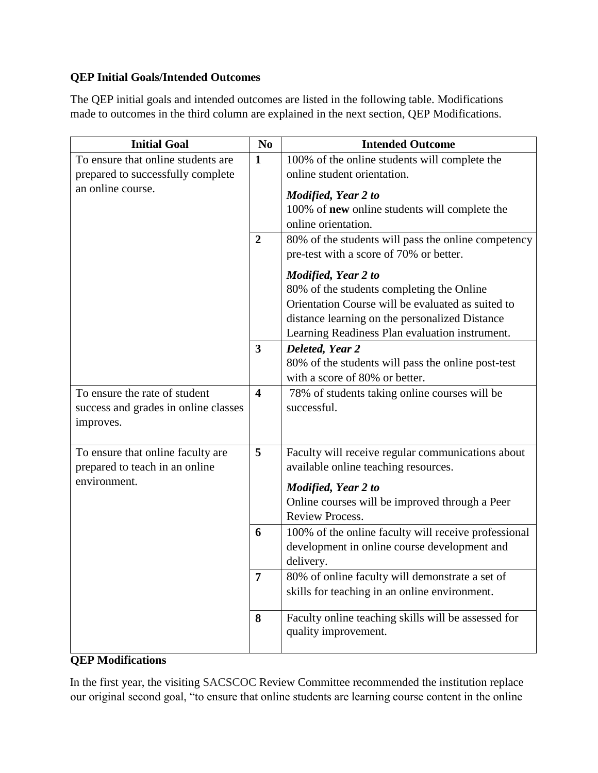# **QEP Initial Goals/Intended Outcomes**

The QEP initial goals and intended outcomes are listed in the following table. Modifications made to outcomes in the third column are explained in the next section, QEP Modifications.

| <b>Initial Goal</b>                  | N <sub>0</sub>          | <b>Intended Outcome</b>                              |
|--------------------------------------|-------------------------|------------------------------------------------------|
| To ensure that online students are   | $\mathbf{1}$            | 100% of the online students will complete the        |
| prepared to successfully complete    |                         | online student orientation.                          |
| an online course.                    |                         | Modified, Year 2 to                                  |
|                                      |                         | 100% of new online students will complete the        |
|                                      |                         | online orientation.                                  |
|                                      | $\boldsymbol{2}$        | 80% of the students will pass the online competency  |
|                                      |                         | pre-test with a score of 70% or better.              |
|                                      |                         | Modified, Year 2 to                                  |
|                                      |                         | 80% of the students completing the Online            |
|                                      |                         | Orientation Course will be evaluated as suited to    |
|                                      |                         | distance learning on the personalized Distance       |
|                                      |                         | Learning Readiness Plan evaluation instrument.       |
|                                      | 3                       | Deleted, Year 2                                      |
|                                      |                         | 80% of the students will pass the online post-test   |
|                                      |                         | with a score of 80% or better.                       |
| To ensure the rate of student        | $\overline{\mathbf{4}}$ | 78% of students taking online courses will be        |
| success and grades in online classes |                         | successful.                                          |
| improves.                            |                         |                                                      |
|                                      |                         |                                                      |
| To ensure that online faculty are    | 5                       | Faculty will receive regular communications about    |
| prepared to teach in an online       |                         | available online teaching resources.                 |
| environment.                         |                         | Modified, Year 2 to                                  |
|                                      |                         | Online courses will be improved through a Peer       |
|                                      |                         | <b>Review Process.</b>                               |
|                                      | 6                       | 100% of the online faculty will receive professional |
|                                      |                         | development in online course development and         |
|                                      |                         | delivery.                                            |
|                                      | 7                       | 80% of online faculty will demonstrate a set of      |
|                                      |                         | skills for teaching in an online environment.        |
|                                      | 8                       | Faculty online teaching skills will be assessed for  |
|                                      |                         | quality improvement.                                 |
|                                      |                         |                                                      |

# **QEP Modifications**

In the first year, the visiting SACSCOC Review Committee recommended the institution replace our original second goal, "to ensure that online students are learning course content in the online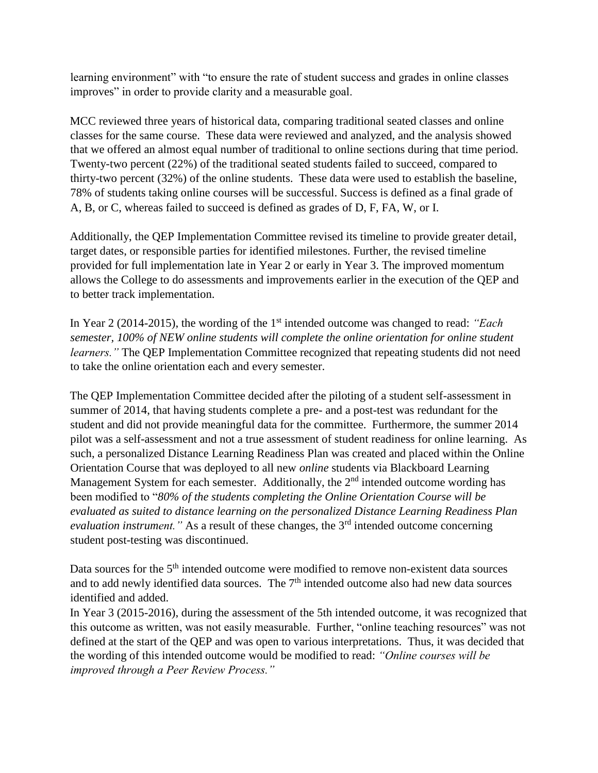learning environment" with "to ensure the rate of student success and grades in online classes improves" in order to provide clarity and a measurable goal.

MCC reviewed three years of historical data, comparing traditional seated classes and online classes for the same course. These data were reviewed and analyzed, and the analysis showed that we offered an almost equal number of traditional to online sections during that time period. Twenty-two percent (22%) of the traditional seated students failed to succeed, compared to thirty-two percent (32%) of the online students. These data were used to establish the baseline, 78% of students taking online courses will be successful. Success is defined as a final grade of A, B, or C, whereas failed to succeed is defined as grades of D, F, FA, W, or I.

Additionally, the QEP Implementation Committee revised its timeline to provide greater detail, target dates, or responsible parties for identified milestones. Further, the revised timeline provided for full implementation late in Year 2 or early in Year 3. The improved momentum allows the College to do assessments and improvements earlier in the execution of the QEP and to better track implementation.

In Year 2 (2014-2015), the wording of the 1<sup>st</sup> intended outcome was changed to read: *"Each semester, 100% of NEW online students will complete the online orientation for online student learners.*" The QEP Implementation Committee recognized that repeating students did not need to take the online orientation each and every semester.

The QEP Implementation Committee decided after the piloting of a student self-assessment in summer of 2014, that having students complete a pre- and a post-test was redundant for the student and did not provide meaningful data for the committee. Furthermore, the summer 2014 pilot was a self-assessment and not a true assessment of student readiness for online learning. As such, a personalized Distance Learning Readiness Plan was created and placed within the Online Orientation Course that was deployed to all new *online* students via Blackboard Learning Management System for each semester. Additionally, the  $2<sup>nd</sup>$  intended outcome wording has been modified to "*80% of the students completing the Online Orientation Course will be evaluated as suited to distance learning on the personalized Distance Learning Readiness Plan evaluation instrument.*" As a result of these changes, the 3<sup>rd</sup> intended outcome concerning student post-testing was discontinued.

Data sources for the  $5<sup>th</sup>$  intended outcome were modified to remove non-existent data sources and to add newly identified data sources. The  $7<sup>th</sup>$  intended outcome also had new data sources identified and added.

In Year 3 (2015-2016), during the assessment of the 5th intended outcome, it was recognized that this outcome as written, was not easily measurable. Further, "online teaching resources" was not defined at the start of the QEP and was open to various interpretations. Thus, it was decided that the wording of this intended outcome would be modified to read: *"Online courses will be improved through a Peer Review Process."*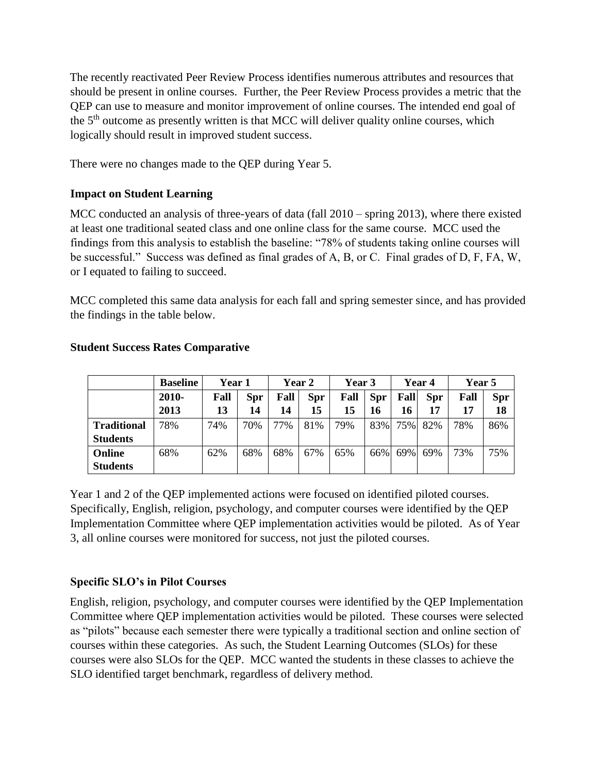The recently reactivated Peer Review Process identifies numerous attributes and resources that should be present in online courses. Further, the Peer Review Process provides a metric that the QEP can use to measure and monitor improvement of online courses. The intended end goal of the 5<sup>th</sup> outcome as presently written is that MCC will deliver quality online courses, which logically should result in improved student success.

There were no changes made to the QEP during Year 5.

# **Impact on Student Learning**

MCC conducted an analysis of three-years of data (fall 2010 – spring 2013), where there existed at least one traditional seated class and one online class for the same course. MCC used the findings from this analysis to establish the baseline: "78% of students taking online courses will be successful." Success was defined as final grades of A, B, or C. Final grades of D, F, FA, W, or I equated to failing to succeed.

MCC completed this same data analysis for each fall and spring semester since, and has provided the findings in the table below.

|                    | <b>Baseline</b> | Year 1 |            | <b>Year 2</b> |            | Year 3 |            | Year 4 |            | <b>Year 5</b> |            |
|--------------------|-----------------|--------|------------|---------------|------------|--------|------------|--------|------------|---------------|------------|
|                    | 2010-           | Fall   | <b>Spr</b> | Fall          | <b>Spr</b> | Fall   | <b>Spr</b> | Fall   | <b>Spr</b> | Fall          | <b>Spr</b> |
|                    | 2013            | 13     | 14         | 14            | 15         | 15     | 16         | 16     | 17         | 17            | 18         |
| <b>Traditional</b> | 78%             | 74%    | 70%        | 77%           | 81%        | 79%    | 83%        | 75%    | 82%        | 78%           | 86%        |
| <b>Students</b>    |                 |        |            |               |            |        |            |        |            |               |            |
| Online             | 68%             | 62%    | 68%        | 68%           | 67%        | 65%    | 66%        | 69%    | 69%        | 73%           | 75%        |
| <b>Students</b>    |                 |        |            |               |            |        |            |        |            |               |            |

#### **Student Success Rates Comparative**

Year 1 and 2 of the QEP implemented actions were focused on identified piloted courses. Specifically, English, religion, psychology, and computer courses were identified by the QEP Implementation Committee where QEP implementation activities would be piloted. As of Year 3, all online courses were monitored for success, not just the piloted courses.

# **Specific SLO's in Pilot Courses**

English, religion, psychology, and computer courses were identified by the QEP Implementation Committee where QEP implementation activities would be piloted. These courses were selected as "pilots" because each semester there were typically a traditional section and online section of courses within these categories. As such, the Student Learning Outcomes (SLOs) for these courses were also SLOs for the QEP. MCC wanted the students in these classes to achieve the SLO identified target benchmark, regardless of delivery method.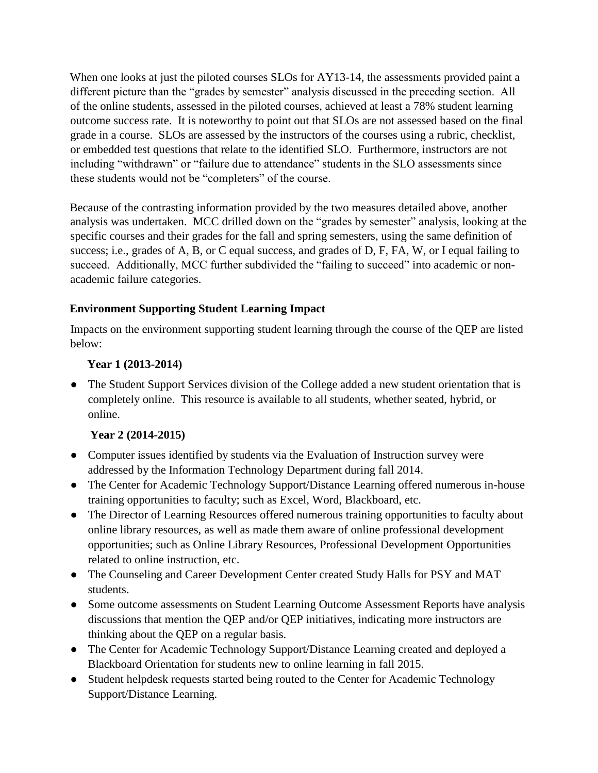When one looks at just the piloted courses SLOs for AY13-14, the assessments provided paint a different picture than the "grades by semester" analysis discussed in the preceding section. All of the online students, assessed in the piloted courses, achieved at least a 78% student learning outcome success rate. It is noteworthy to point out that SLOs are not assessed based on the final grade in a course. SLOs are assessed by the instructors of the courses using a rubric, checklist, or embedded test questions that relate to the identified SLO. Furthermore, instructors are not including "withdrawn" or "failure due to attendance" students in the SLO assessments since these students would not be "completers" of the course.

Because of the contrasting information provided by the two measures detailed above, another analysis was undertaken. MCC drilled down on the "grades by semester" analysis, looking at the specific courses and their grades for the fall and spring semesters, using the same definition of success; i.e., grades of A, B, or C equal success, and grades of D, F, FA, W, or I equal failing to succeed. Additionally, MCC further subdivided the "failing to succeed" into academic or nonacademic failure categories.

# **Environment Supporting Student Learning Impact**

Impacts on the environment supporting student learning through the course of the QEP are listed below:

#### **Year 1 (2013-2014)**

• The Student Support Services division of the College added a new student orientation that is completely online. This resource is available to all students, whether seated, hybrid, or online.

# **Year 2 (2014-2015)**

- Computer issues identified by students via the Evaluation of Instruction survey were addressed by the Information Technology Department during fall 2014.
- The Center for Academic Technology Support/Distance Learning offered numerous in-house training opportunities to faculty; such as Excel, Word, Blackboard, etc.
- The Director of Learning Resources offered numerous training opportunities to faculty about online library resources, as well as made them aware of online professional development opportunities; such as Online Library Resources, Professional Development Opportunities related to online instruction, etc.
- The Counseling and Career Development Center created Study Halls for PSY and MAT students.
- Some outcome assessments on Student Learning Outcome Assessment Reports have analysis discussions that mention the QEP and/or QEP initiatives, indicating more instructors are thinking about the QEP on a regular basis.
- The Center for Academic Technology Support/Distance Learning created and deployed a Blackboard Orientation for students new to online learning in fall 2015.
- Student helpdesk requests started being routed to the Center for Academic Technology Support/Distance Learning.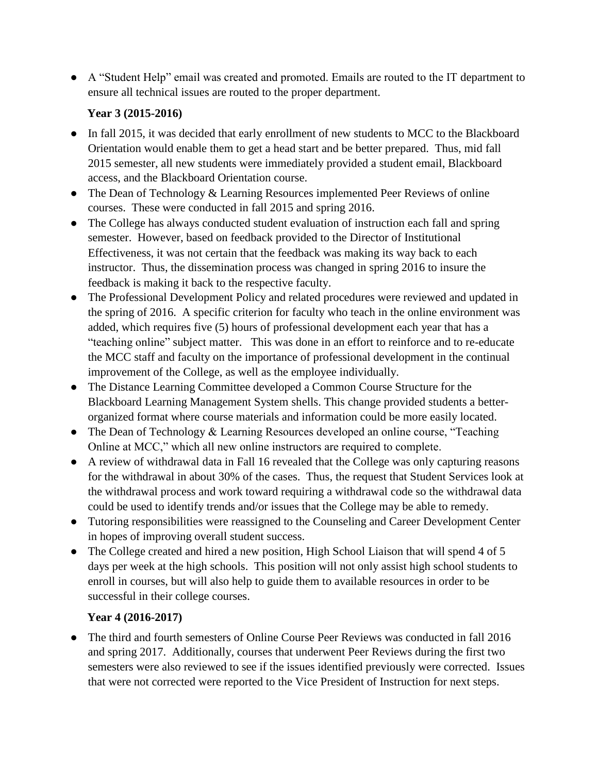● A "Student Help" email was created and promoted. Emails are routed to the IT department to ensure all technical issues are routed to the proper department.

# **Year 3 (2015-2016)**

- In fall 2015, it was decided that early enrollment of new students to MCC to the Blackboard Orientation would enable them to get a head start and be better prepared. Thus, mid fall 2015 semester, all new students were immediately provided a student email, Blackboard access, and the Blackboard Orientation course.
- The Dean of Technology & Learning Resources implemented Peer Reviews of online courses. These were conducted in fall 2015 and spring 2016.
- The College has always conducted student evaluation of instruction each fall and spring semester. However, based on feedback provided to the Director of Institutional Effectiveness, it was not certain that the feedback was making its way back to each instructor. Thus, the dissemination process was changed in spring 2016 to insure the feedback is making it back to the respective faculty.
- The Professional Development Policy and related procedures were reviewed and updated in the spring of 2016. A specific criterion for faculty who teach in the online environment was added, which requires five (5) hours of professional development each year that has a "teaching online" subject matter. This was done in an effort to reinforce and to re-educate the MCC staff and faculty on the importance of professional development in the continual improvement of the College, as well as the employee individually.
- The Distance Learning Committee developed a Common Course Structure for the Blackboard Learning Management System shells. This change provided students a betterorganized format where course materials and information could be more easily located.
- The Dean of Technology & Learning Resources developed an online course, "Teaching" Online at MCC," which all new online instructors are required to complete.
- A review of withdrawal data in Fall 16 revealed that the College was only capturing reasons for the withdrawal in about 30% of the cases. Thus, the request that Student Services look at the withdrawal process and work toward requiring a withdrawal code so the withdrawal data could be used to identify trends and/or issues that the College may be able to remedy.
- Tutoring responsibilities were reassigned to the Counseling and Career Development Center in hopes of improving overall student success.
- The College created and hired a new position, High School Liaison that will spend 4 of 5 days per week at the high schools. This position will not only assist high school students to enroll in courses, but will also help to guide them to available resources in order to be successful in their college courses.

# **Year 4 (2016-2017)**

● The third and fourth semesters of Online Course Peer Reviews was conducted in fall 2016 and spring 2017. Additionally, courses that underwent Peer Reviews during the first two semesters were also reviewed to see if the issues identified previously were corrected. Issues that were not corrected were reported to the Vice President of Instruction for next steps.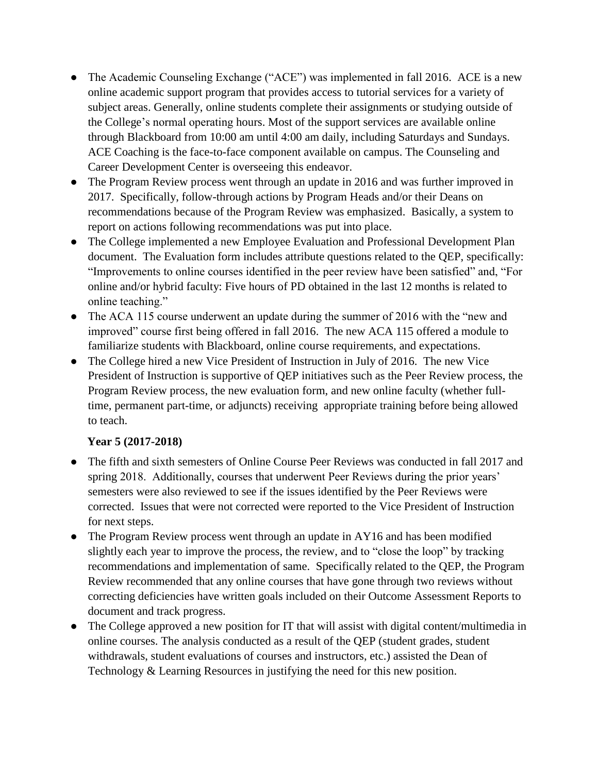- The Academic Counseling Exchange ("ACE") was implemented in fall 2016. ACE is a new online academic support program that provides access to tutorial services for a variety of subject areas. Generally, online students complete their assignments or studying outside of the College's normal operating hours. Most of the support services are available online through Blackboard from 10:00 am until 4:00 am daily, including Saturdays and Sundays. ACE Coaching is the face-to-face component available on campus. The Counseling and Career Development Center is overseeing this endeavor.
- The Program Review process went through an update in 2016 and was further improved in 2017. Specifically, follow-through actions by Program Heads and/or their Deans on recommendations because of the Program Review was emphasized. Basically, a system to report on actions following recommendations was put into place.
- The College implemented a new Employee Evaluation and Professional Development Plan document. The Evaluation form includes attribute questions related to the QEP, specifically: "Improvements to online courses identified in the peer review have been satisfied" and, "For online and/or hybrid faculty: Five hours of PD obtained in the last 12 months is related to online teaching."
- The ACA 115 course underwent an update during the summer of 2016 with the "new and improved" course first being offered in fall 2016. The new ACA 115 offered a module to familiarize students with Blackboard, online course requirements, and expectations.
- The College hired a new Vice President of Instruction in July of 2016. The new Vice President of Instruction is supportive of QEP initiatives such as the Peer Review process, the Program Review process, the new evaluation form, and new online faculty (whether fulltime, permanent part-time, or adjuncts) receiving appropriate training before being allowed to teach.

# **Year 5 (2017-2018)**

- The fifth and sixth semesters of Online Course Peer Reviews was conducted in fall 2017 and spring 2018. Additionally, courses that underwent Peer Reviews during the prior years' semesters were also reviewed to see if the issues identified by the Peer Reviews were corrected. Issues that were not corrected were reported to the Vice President of Instruction for next steps.
- The Program Review process went through an update in AY16 and has been modified slightly each year to improve the process, the review, and to "close the loop" by tracking recommendations and implementation of same. Specifically related to the QEP, the Program Review recommended that any online courses that have gone through two reviews without correcting deficiencies have written goals included on their Outcome Assessment Reports to document and track progress.
- The College approved a new position for IT that will assist with digital content/multimedia in online courses. The analysis conducted as a result of the QEP (student grades, student withdrawals, student evaluations of courses and instructors, etc.) assisted the Dean of Technology & Learning Resources in justifying the need for this new position.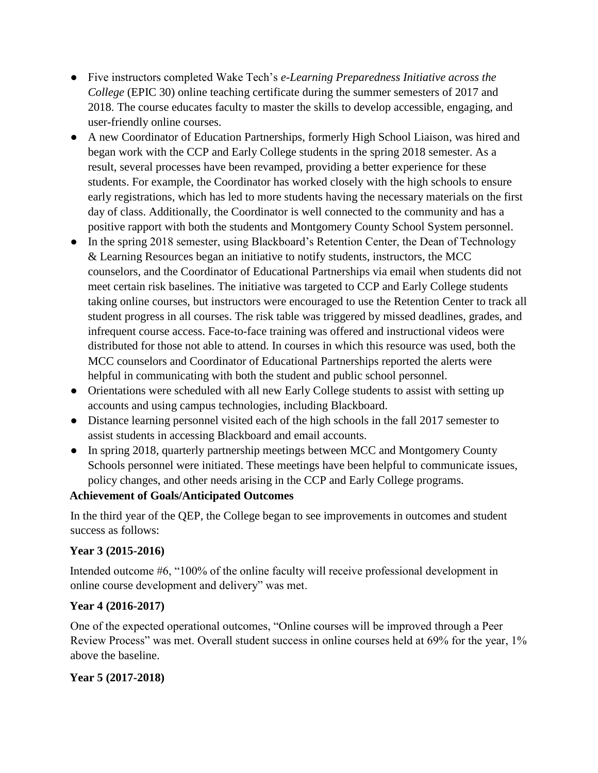- Five instructors completed Wake Tech's *e-Learning Preparedness Initiative across the College* (EPIC 30) online teaching certificate during the summer semesters of 2017 and 2018. The course educates faculty to master the skills to develop accessible, engaging, and user-friendly online courses.
- A new Coordinator of Education Partnerships, formerly High School Liaison, was hired and began work with the CCP and Early College students in the spring 2018 semester. As a result, several processes have been revamped, providing a better experience for these students. For example, the Coordinator has worked closely with the high schools to ensure early registrations, which has led to more students having the necessary materials on the first day of class. Additionally, the Coordinator is well connected to the community and has a positive rapport with both the students and Montgomery County School System personnel.
- In the spring 2018 semester, using Blackboard's Retention Center, the Dean of Technology & Learning Resources began an initiative to notify students, instructors, the MCC counselors, and the Coordinator of Educational Partnerships via email when students did not meet certain risk baselines. The initiative was targeted to CCP and Early College students taking online courses, but instructors were encouraged to use the Retention Center to track all student progress in all courses. The risk table was triggered by missed deadlines, grades, and infrequent course access. Face-to-face training was offered and instructional videos were distributed for those not able to attend. In courses in which this resource was used, both the MCC counselors and Coordinator of Educational Partnerships reported the alerts were helpful in communicating with both the student and public school personnel.
- Orientations were scheduled with all new Early College students to assist with setting up accounts and using campus technologies, including Blackboard.
- Distance learning personnel visited each of the high schools in the fall 2017 semester to assist students in accessing Blackboard and email accounts.
- In spring 2018, quarterly partnership meetings between MCC and Montgomery County Schools personnel were initiated. These meetings have been helpful to communicate issues, policy changes, and other needs arising in the CCP and Early College programs.

#### **Achievement of Goals/Anticipated Outcomes**

In the third year of the QEP, the College began to see improvements in outcomes and student success as follows:

# **Year 3 (2015-2016)**

Intended outcome #6, "100% of the online faculty will receive professional development in online course development and delivery" was met.

#### **Year 4 (2016-2017)**

One of the expected operational outcomes, "Online courses will be improved through a Peer Review Process" was met. Overall student success in online courses held at 69% for the year, 1% above the baseline.

# **Year 5 (2017-2018)**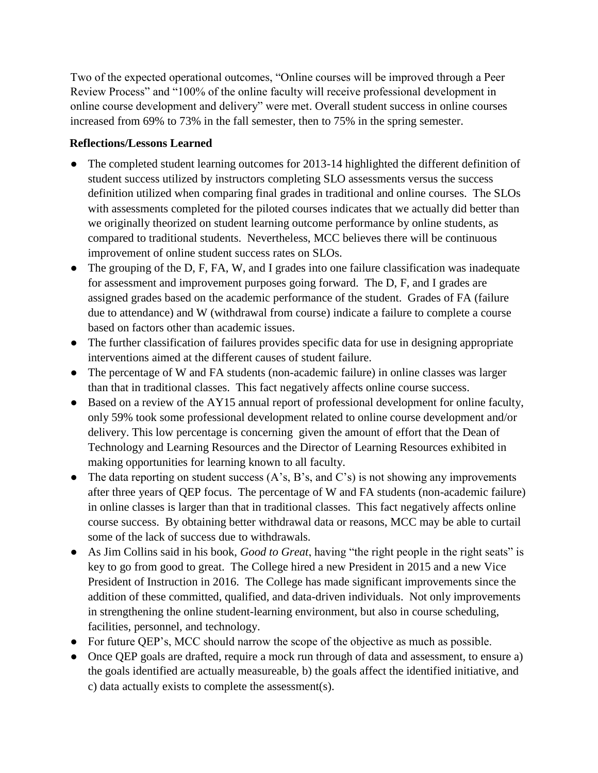Two of the expected operational outcomes, "Online courses will be improved through a Peer Review Process" and "100% of the online faculty will receive professional development in online course development and delivery" were met. Overall student success in online courses increased from 69% to 73% in the fall semester, then to 75% in the spring semester.

#### **Reflections/Lessons Learned**

- The completed student learning outcomes for 2013-14 highlighted the different definition of student success utilized by instructors completing SLO assessments versus the success definition utilized when comparing final grades in traditional and online courses. The SLOs with assessments completed for the piloted courses indicates that we actually did better than we originally theorized on student learning outcome performance by online students, as compared to traditional students. Nevertheless, MCC believes there will be continuous improvement of online student success rates on SLOs.
- The grouping of the D, F, FA, W, and I grades into one failure classification was inadequate for assessment and improvement purposes going forward. The D, F, and I grades are assigned grades based on the academic performance of the student. Grades of FA (failure due to attendance) and W (withdrawal from course) indicate a failure to complete a course based on factors other than academic issues.
- The further classification of failures provides specific data for use in designing appropriate interventions aimed at the different causes of student failure.
- The percentage of W and FA students (non-academic failure) in online classes was larger than that in traditional classes. This fact negatively affects online course success.
- Based on a review of the AY15 annual report of professional development for online faculty, only 59% took some professional development related to online course development and/or delivery. This low percentage is concerning given the amount of effort that the Dean of Technology and Learning Resources and the Director of Learning Resources exhibited in making opportunities for learning known to all faculty.
- The data reporting on student success  $(A's, B's, and C's)$  is not showing any improvements after three years of QEP focus. The percentage of W and FA students (non-academic failure) in online classes is larger than that in traditional classes. This fact negatively affects online course success. By obtaining better withdrawal data or reasons, MCC may be able to curtail some of the lack of success due to withdrawals.
- As Jim Collins said in his book, *Good to Great*, having "the right people in the right seats" is key to go from good to great. The College hired a new President in 2015 and a new Vice President of Instruction in 2016. The College has made significant improvements since the addition of these committed, qualified, and data-driven individuals. Not only improvements in strengthening the online student-learning environment, but also in course scheduling, facilities, personnel, and technology.
- For future QEP's, MCC should narrow the scope of the objective as much as possible.
- Once QEP goals are drafted, require a mock run through of data and assessment, to ensure a) the goals identified are actually measureable, b) the goals affect the identified initiative, and c) data actually exists to complete the assessment(s).